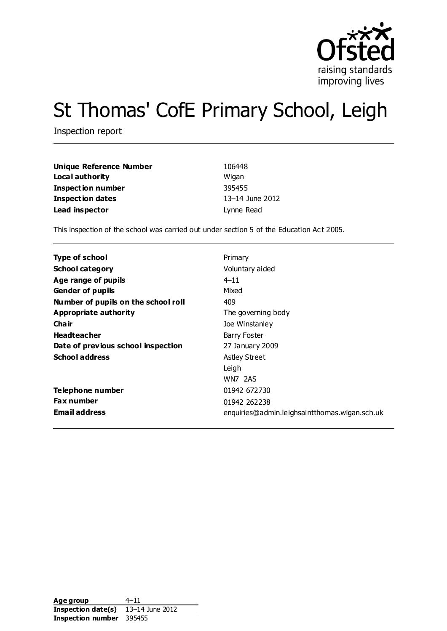

# St Thomas' CofE Primary School, Leigh

Inspection report

| Unique Reference Number  | 106448          |
|--------------------------|-----------------|
| Local authority          | Wigan           |
| <b>Inspection number</b> | 395455          |
| <b>Inspection dates</b>  | 13–14 June 2012 |
| Lead inspector           | Lynne Read      |

This inspection of the school was carried out under section 5 of the Education Act 2005.

| Type of school                      | Primary                                       |
|-------------------------------------|-----------------------------------------------|
| <b>School category</b>              | Voluntary aided                               |
| Age range of pupils                 | $4 - 11$                                      |
| <b>Gender of pupils</b>             | Mixed                                         |
| Number of pupils on the school roll | 409                                           |
| Appropriate authority               | The governing body                            |
| Cha ir                              | Joe Winstanley                                |
| <b>Headteacher</b>                  | Barry Foster                                  |
| Date of previous school inspection  | 27 January 2009                               |
| <b>School address</b>               | <b>Astley Street</b>                          |
|                                     | Leigh                                         |
|                                     | WN7 2AS                                       |
| Telephone number                    | 01942 672730                                  |
| <b>Fax number</b>                   | 01942 262238                                  |
| <b>Email address</b>                | enquiries@admin.leighsaintthomas.wigan.sch.uk |

Age group 4–11 **Inspection date(s)** 13–14 June 2012 **Inspection number** 395455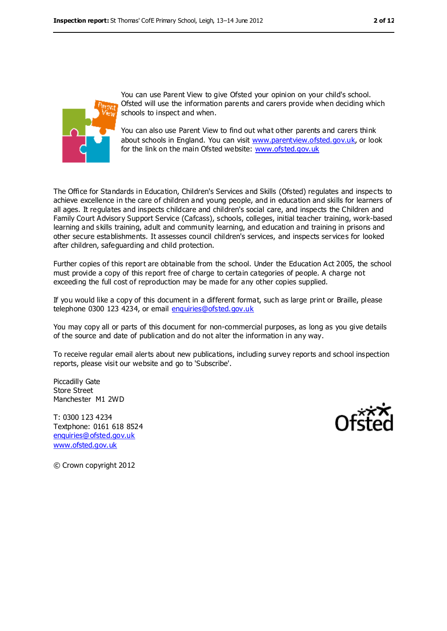

You can use Parent View to give Ofsted your opinion on your child's school. Ofsted will use the information parents and carers provide when deciding which schools to inspect and when.

You can also use Parent View to find out what other parents and carers think about schools in England. You can visit [www.parentview.ofsted.gov.uk,](../../../../../../../F%20Carruthers/AppData/Local/Microsoft/Windows/Temporary%20Internet%20Files/Content.IE5/59FT1AYL/www.parentview.ofsted.gov.uk) or look for the link on the main Ofsted website: [www.ofsted.gov.uk](../../../../../../../F%20Carruthers/AppData/Local/Microsoft/Windows/Temporary%20Internet%20Files/Content.IE5/59FT1AYL/www.ofsted.gov.uk)

The Office for Standards in Education, Children's Services and Skills (Ofsted) regulates and inspects to achieve excellence in the care of children and young people, and in education and skills for learners of all ages. It regulates and inspects childcare and children's social care, and inspects the Children and Family Court Advisory Support Service (Cafcass), schools, colleges, initial teacher training, work-based learning and skills training, adult and community learning, and education and training in prisons and other secure establishments. It assesses council children's services, and inspects services for looked after children, safeguarding and child protection.

Further copies of this report are obtainable from the school. Under the Education Act 2005, the school must provide a copy of this report free of charge to certain categories of people. A charge not exceeding the full cost of reproduction may be made for any other copies supplied.

If you would like a copy of this document in a different format, such as large print or Braille, please telephone 0300 123 4234, or email [enquiries@ofsted.gov.uk](mailto:enquiries@ofsted.gov.uk)

You may copy all or parts of this document for non-commercial purposes, as long as you give details of the source and date of publication and do not alter the information in any way.

To receive regular email alerts about new publications, including survey reports and school inspection reports, please visit our website and go to 'Subscribe'.

Piccadilly Gate Store Street Manchester M1 2WD

T: 0300 123 4234 Textphone: 0161 618 8524 [enquiries@ofsted.gov.uk](mailto:enquiries@ofsted.gov.uk) [www.ofsted.gov.uk](http://www.ofsted.gov.uk/)



© Crown copyright 2012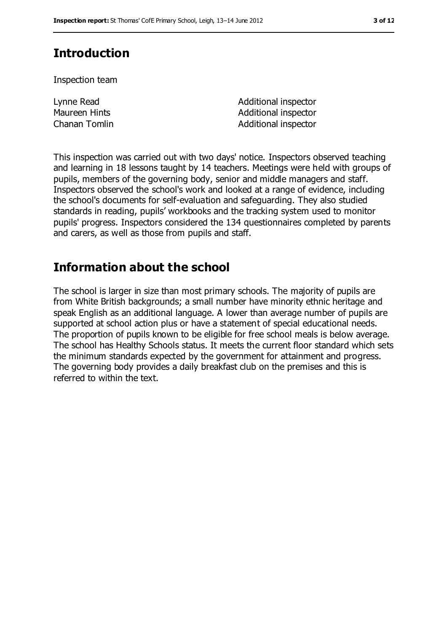# **Introduction**

Inspection team

Lynne Read Maureen Hints

Additional inspector Additional inspector Chanan Tomlin **Additional inspector** 

This inspection was carried out with two days' notice. Inspectors observed teaching and learning in 18 lessons taught by 14 teachers. Meetings were held with groups of pupils, members of the governing body, senior and middle managers and staff. Inspectors observed the school's work and looked at a range of evidence, including the school's documents for self-evaluation and safeguarding. They also studied standards in reading, pupils' workbooks and the tracking system used to monitor pupils' progress. Inspectors considered the 134 questionnaires completed by parents and carers, as well as those from pupils and staff.

# **Information about the school**

The school is larger in size than most primary schools. The majority of pupils are from White British backgrounds; a small number have minority ethnic heritage and speak English as an additional language. A lower than average number of pupils are supported at school action plus or have a statement of special educational needs. The proportion of pupils known to be eligible for free school meals is below average. The school has Healthy Schools status. It meets the current floor standard which sets the minimum standards expected by the government for attainment and progress. The governing body provides a daily breakfast club on the premises and this is referred to within the text.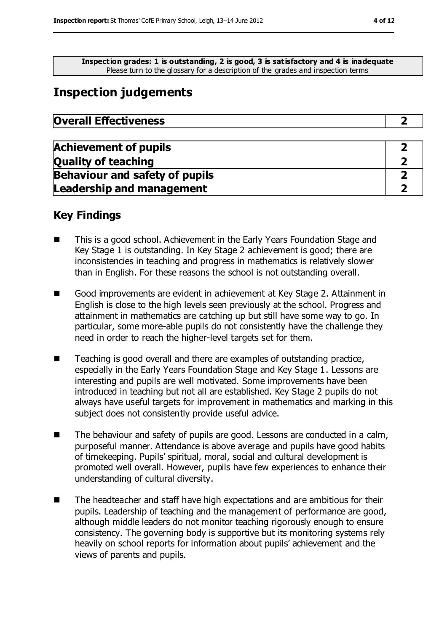**Inspection grades: 1 is outstanding, 2 is good, 3 is satisfactory and 4 is inadequate** Please turn to the glossary for a description of the grades and inspection terms

## **Inspection judgements**

| <b>Achievement of pupils</b>          |  |
|---------------------------------------|--|
| <b>Quality of teaching</b>            |  |
| <b>Behaviour and safety of pupils</b> |  |
| <b>Leadership and management</b>      |  |

#### **Key Findings**

- This is a good school. Achievement in the Early Years Foundation Stage and Key Stage 1 is outstanding. In Key Stage 2 achievement is good; there are inconsistencies in teaching and progress in mathematics is relatively slower than in English. For these reasons the school is not outstanding overall.
- Good improvements are evident in achievement at Key Stage 2. Attainment in English is close to the high levels seen previously at the school. Progress and attainment in mathematics are catching up but still have some way to go. In particular, some more-able pupils do not consistently have the challenge they need in order to reach the higher-level targets set for them.
- Teaching is good overall and there are examples of outstanding practice, especially in the Early Years Foundation Stage and Key Stage 1. Lessons are interesting and pupils are well motivated. Some improvements have been introduced in teaching but not all are established. Key Stage 2 pupils do not always have useful targets for improvement in mathematics and marking in this subject does not consistently provide useful advice.
- The behaviour and safety of pupils are good. Lessons are conducted in a calm, purposeful manner. Attendance is above average and pupils have good habits of timekeeping. Pupils' spiritual, moral, social and cultural development is promoted well overall. However, pupils have few experiences to enhance their understanding of cultural diversity.
- The headteacher and staff have high expectations and are ambitious for their pupils. Leadership of teaching and the management of performance are good, although middle leaders do not monitor teaching rigorously enough to ensure consistency. The governing body is supportive but its monitoring systems rely heavily on school reports for information about pupils' achievement and the views of parents and pupils.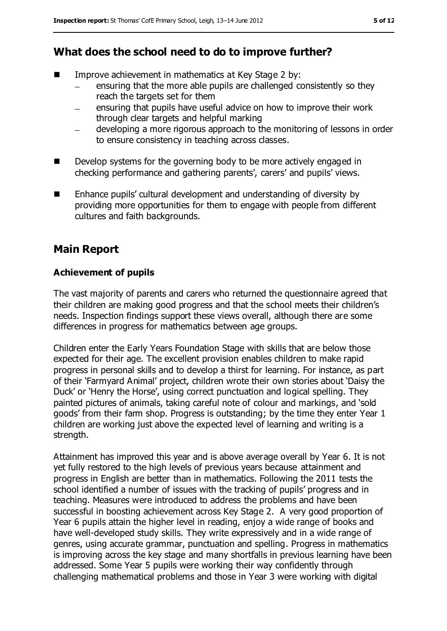## **What does the school need to do to improve further?**

- $\blacksquare$  Improve achievement in mathematics at Key Stage 2 by:
	- ensuring that the more able pupils are challenged consistently so they reach the targets set for them
	- ensuring that pupils have useful advice on how to improve their work through clear targets and helpful marking
	- developing a more rigorous approach to the monitoring of lessons in order to ensure consistency in teaching across classes.
- Develop systems for the governing body to be more actively engaged in checking performance and gathering parents', carers' and pupils' views.
- Enhance pupils' cultural development and understanding of diversity by providing more opportunities for them to engage with people from different cultures and faith backgrounds.

## **Main Report**

#### **Achievement of pupils**

The vast majority of parents and carers who returned the questionnaire agreed that their children are making good progress and that the school meets their children's needs. Inspection findings support these views overall, although there are some differences in progress for mathematics between age groups.

Children enter the Early Years Foundation Stage with skills that are below those expected for their age. The excellent provision enables children to make rapid progress in personal skills and to develop a thirst for learning. For instance, as part of their 'Farmyard Animal' project, children wrote their own stories about 'Daisy the Duck' or 'Henry the Horse', using correct punctuation and logical spelling. They painted pictures of animals, taking careful note of colour and markings, and 'sold goods' from their farm shop. Progress is outstanding; by the time they enter Year 1 children are working just above the expected level of learning and writing is a strength.

Attainment has improved this year and is above average overall by Year 6. It is not yet fully restored to the high levels of previous years because attainment and progress in English are better than in mathematics. Following the 2011 tests the school identified a number of issues with the tracking of pupils' progress and in teaching. Measures were introduced to address the problems and have been successful in boosting achievement across Key Stage 2. A very good proportion of Year 6 pupils attain the higher level in reading, enjoy a wide range of books and have well-developed study skills. They write expressively and in a wide range of genres, using accurate grammar, punctuation and spelling. Progress in mathematics is improving across the key stage and many shortfalls in previous learning have been addressed. Some Year 5 pupils were working their way confidently through challenging mathematical problems and those in Year 3 were working with digital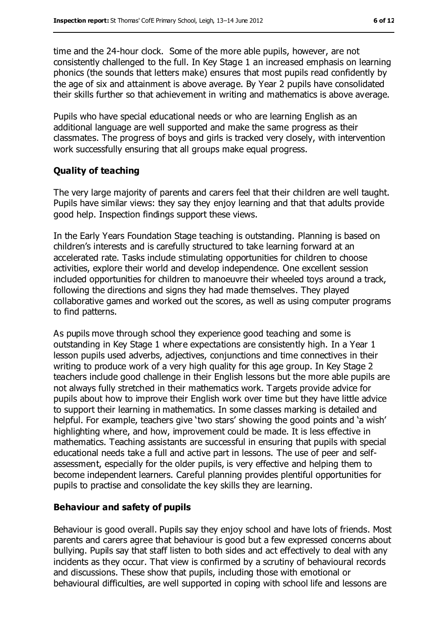time and the 24-hour clock. Some of the more able pupils, however, are not consistently challenged to the full. In Key Stage 1 an increased emphasis on learning phonics (the sounds that letters make) ensures that most pupils read confidently by the age of six and attainment is above average. By Year 2 pupils have consolidated their skills further so that achievement in writing and mathematics is above average.

Pupils who have special educational needs or who are learning English as an additional language are well supported and make the same progress as their classmates. The progress of boys and girls is tracked very closely, with intervention work successfully ensuring that all groups make equal progress.

#### **Quality of teaching**

The very large majority of parents and carers feel that their children are well taught. Pupils have similar views: they say they enjoy learning and that that adults provide good help. Inspection findings support these views.

In the Early Years Foundation Stage teaching is outstanding. Planning is based on children's interests and is carefully structured to take learning forward at an accelerated rate. Tasks include stimulating opportunities for children to choose activities, explore their world and develop independence. One excellent session included opportunities for children to manoeuvre their wheeled toys around a track, following the directions and signs they had made themselves. They played collaborative games and worked out the scores, as well as using computer programs to find patterns.

As pupils move through school they experience good teaching and some is outstanding in Key Stage 1 where expectations are consistently high. In a Year 1 lesson pupils used adverbs, adjectives, conjunctions and time connectives in their writing to produce work of a very high quality for this age group. In Key Stage 2 teachers include good challenge in their English lessons but the more able pupils are not always fully stretched in their mathematics work. Targets provide advice for pupils about how to improve their English work over time but they have little advice to support their learning in mathematics. In some classes marking is detailed and helpful. For example, teachers give 'two stars' showing the good points and 'a wish' highlighting where, and how, improvement could be made. It is less effective in mathematics. Teaching assistants are successful in ensuring that pupils with special educational needs take a full and active part in lessons. The use of peer and selfassessment, especially for the older pupils, is very effective and helping them to become independent learners. Careful planning provides plentiful opportunities for pupils to practise and consolidate the key skills they are learning.

#### **Behaviour and safety of pupils**

Behaviour is good overall. Pupils say they enjoy school and have lots of friends. Most parents and carers agree that behaviour is good but a few expressed concerns about bullying. Pupils say that staff listen to both sides and act effectively to deal with any incidents as they occur. That view is confirmed by a scrutiny of behavioural records and discussions. These show that pupils, including those with emotional or behavioural difficulties, are well supported in coping with school life and lessons are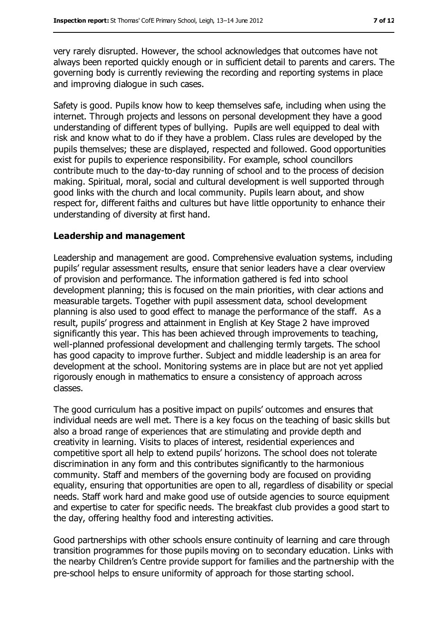very rarely disrupted. However, the school acknowledges that outcomes have not always been reported quickly enough or in sufficient detail to parents and carers. The governing body is currently reviewing the recording and reporting systems in place and improving dialogue in such cases.

Safety is good. Pupils know how to keep themselves safe, including when using the internet. Through projects and lessons on personal development they have a good understanding of different types of bullying. Pupils are well equipped to deal with risk and know what to do if they have a problem. Class rules are developed by the pupils themselves; these are displayed, respected and followed. Good opportunities exist for pupils to experience responsibility. For example, school councillors contribute much to the day-to-day running of school and to the process of decision making. Spiritual, moral, social and cultural development is well supported through good links with the church and local community. Pupils learn about, and show respect for, different faiths and cultures but have little opportunity to enhance their understanding of diversity at first hand.

#### **Leadership and management**

Leadership and management are good. Comprehensive evaluation systems, including pupils' regular assessment results, ensure that senior leaders have a clear overview of provision and performance. The information gathered is fed into school development planning; this is focused on the main priorities, with clear actions and measurable targets. Together with pupil assessment data, school development planning is also used to good effect to manage the performance of the staff. As a result, pupils' progress and attainment in English at Key Stage 2 have improved significantly this year. This has been achieved through improvements to teaching, well-planned professional development and challenging termly targets. The school has good capacity to improve further. Subject and middle leadership is an area for development at the school. Monitoring systems are in place but are not yet applied rigorously enough in mathematics to ensure a consistency of approach across classes.

The good curriculum has a positive impact on pupils' outcomes and ensures that individual needs are well met. There is a key focus on the teaching of basic skills but also a broad range of experiences that are stimulating and provide depth and creativity in learning. Visits to places of interest, residential experiences and competitive sport all help to extend pupils' horizons. The school does not tolerate discrimination in any form and this contributes significantly to the harmonious community. Staff and members of the governing body are focused on providing equality, ensuring that opportunities are open to all, regardless of disability or special needs. Staff work hard and make good use of outside agencies to source equipment and expertise to cater for specific needs. The breakfast club provides a good start to the day, offering healthy food and interesting activities.

Good partnerships with other schools ensure continuity of learning and care through transition programmes for those pupils moving on to secondary education. Links with the nearby Children's Centre provide support for families and the partnership with the pre-school helps to ensure uniformity of approach for those starting school.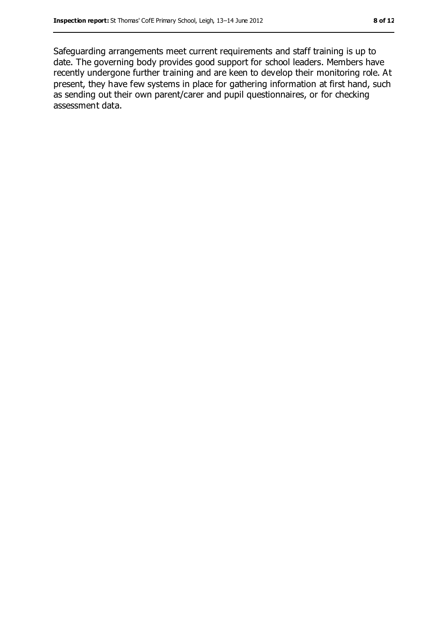Safeguarding arrangements meet current requirements and staff training is up to date. The governing body provides good support for school leaders. Members have recently undergone further training and are keen to develop their monitoring role. At present, they have few systems in place for gathering information at first hand, such as sending out their own parent/carer and pupil questionnaires, or for checking assessment data.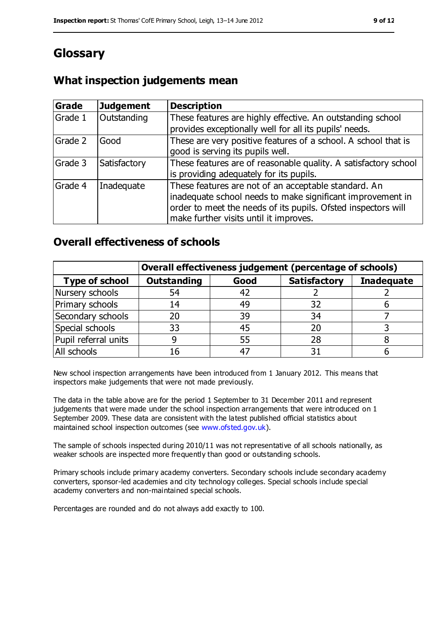# **Glossary**

### **What inspection judgements mean**

| Grade   | <b>Judgement</b> | <b>Description</b>                                                                                                                                                                                                            |
|---------|------------------|-------------------------------------------------------------------------------------------------------------------------------------------------------------------------------------------------------------------------------|
| Grade 1 | Outstanding      | These features are highly effective. An outstanding school<br>provides exceptionally well for all its pupils' needs.                                                                                                          |
| Grade 2 | Good             | These are very positive features of a school. A school that is<br>good is serving its pupils well.                                                                                                                            |
| Grade 3 | Satisfactory     | These features are of reasonable quality. A satisfactory school<br>is providing adequately for its pupils.                                                                                                                    |
| Grade 4 | Inadequate       | These features are not of an acceptable standard. An<br>inadequate school needs to make significant improvement in<br>order to meet the needs of its pupils. Ofsted inspectors will<br>make further visits until it improves. |

#### **Overall effectiveness of schools**

|                       | Overall effectiveness judgement (percentage of schools) |      |                     |                   |
|-----------------------|---------------------------------------------------------|------|---------------------|-------------------|
| <b>Type of school</b> | <b>Outstanding</b>                                      | Good | <b>Satisfactory</b> | <b>Inadequate</b> |
| Nursery schools       | 54                                                      | 42   |                     |                   |
| Primary schools       | 14                                                      | 49   | 32                  |                   |
| Secondary schools     | 20                                                      | 39   | 34                  |                   |
| Special schools       | 33                                                      | 45   |                     |                   |
| Pupil referral units  | 9                                                       | 55   | 28                  |                   |
| All schools           | 16                                                      | -47  |                     |                   |

New school inspection arrangements have been introduced from 1 January 2012. This means that inspectors make judgements that were not made previously.

The data in the table above are for the period 1 September to 31 December 2011 and represent judgements that were made under the school inspection arrangements that were introduced on 1 September 2009. These data are consistent with the latest published official statistics about maintained school inspection outcomes (see [www.ofsted.gov.uk\)](../../../../../../../F%20Carruthers/AppData/Local/Microsoft/Windows/Temporary%20Internet%20Files/Content.IE5/59FT1AYL/www.ofsted.gov.uk).

The sample of schools inspected during 2010/11 was not representative of all schools nationally, as weaker schools are inspected more frequently than good or outstanding schools.

Primary schools include primary academy converters. Secondary schools include secondary academy converters, sponsor-led academies and city technology colleges. Special schools include special academy converters and non-maintained special schools.

Percentages are rounded and do not always add exactly to 100.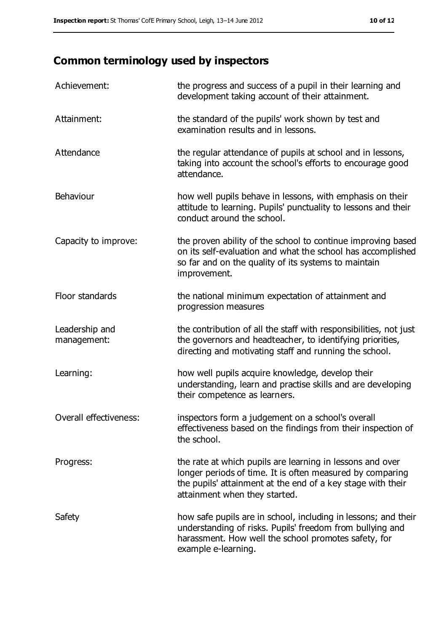# **Common terminology used by inspectors**

| Achievement:                  | the progress and success of a pupil in their learning and<br>development taking account of their attainment.                                                                                                           |
|-------------------------------|------------------------------------------------------------------------------------------------------------------------------------------------------------------------------------------------------------------------|
| Attainment:                   | the standard of the pupils' work shown by test and<br>examination results and in lessons.                                                                                                                              |
| Attendance                    | the regular attendance of pupils at school and in lessons,<br>taking into account the school's efforts to encourage good<br>attendance.                                                                                |
| Behaviour                     | how well pupils behave in lessons, with emphasis on their<br>attitude to learning. Pupils' punctuality to lessons and their<br>conduct around the school.                                                              |
| Capacity to improve:          | the proven ability of the school to continue improving based<br>on its self-evaluation and what the school has accomplished<br>so far and on the quality of its systems to maintain<br>improvement.                    |
| Floor standards               | the national minimum expectation of attainment and<br>progression measures                                                                                                                                             |
| Leadership and<br>management: | the contribution of all the staff with responsibilities, not just<br>the governors and headteacher, to identifying priorities,<br>directing and motivating staff and running the school.                               |
| Learning:                     | how well pupils acquire knowledge, develop their<br>understanding, learn and practise skills and are developing<br>their competence as learners.                                                                       |
| Overall effectiveness:        | inspectors form a judgement on a school's overall<br>effectiveness based on the findings from their inspection of<br>the school.                                                                                       |
| Progress:                     | the rate at which pupils are learning in lessons and over<br>longer periods of time. It is often measured by comparing<br>the pupils' attainment at the end of a key stage with their<br>attainment when they started. |
| Safety                        | how safe pupils are in school, including in lessons; and their<br>understanding of risks. Pupils' freedom from bullying and<br>harassment. How well the school promotes safety, for<br>example e-learning.             |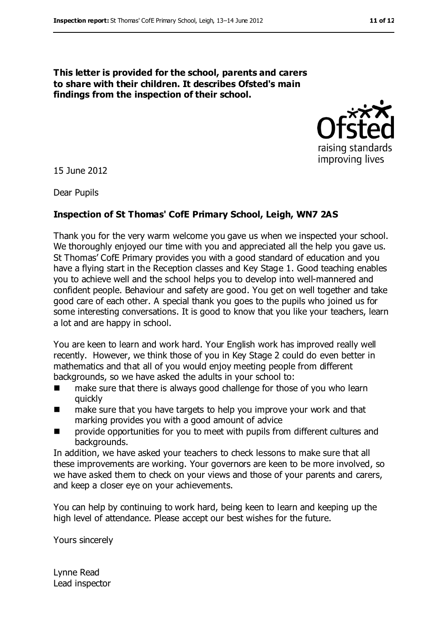#### **This letter is provided for the school, parents and carers to share with their children. It describes Ofsted's main findings from the inspection of their school.**



15 June 2012

Dear Pupils

#### **Inspection of St Thomas' CofE Primary School, Leigh, WN7 2AS**

Thank you for the very warm welcome you gave us when we inspected your school. We thoroughly enjoyed our time with you and appreciated all the help you gave us. St Thomas' CofE Primary provides you with a good standard of education and you have a flying start in the Reception classes and Key Stage 1. Good teaching enables you to achieve well and the school helps you to develop into well-mannered and confident people. Behaviour and safety are good. You get on well together and take good care of each other. A special thank you goes to the pupils who joined us for some interesting conversations. It is good to know that you like your teachers, learn a lot and are happy in school.

You are keen to learn and work hard. Your English work has improved really well recently. However, we think those of you in Key Stage 2 could do even better in mathematics and that all of you would enjoy meeting people from different backgrounds, so we have asked the adults in your school to:

- make sure that there is always good challenge for those of you who learn quickly
- **numake sure that you have targets to help you improve your work and that** marking provides you with a good amount of advice
- provide opportunities for you to meet with pupils from different cultures and backgrounds.

In addition, we have asked your teachers to check lessons to make sure that all these improvements are working. Your governors are keen to be more involved, so we have asked them to check on your views and those of your parents and carers, and keep a closer eye on your achievements.

You can help by continuing to work hard, being keen to learn and keeping up the high level of attendance. Please accept our best wishes for the future.

Yours sincerely

Lynne Read Lead inspector